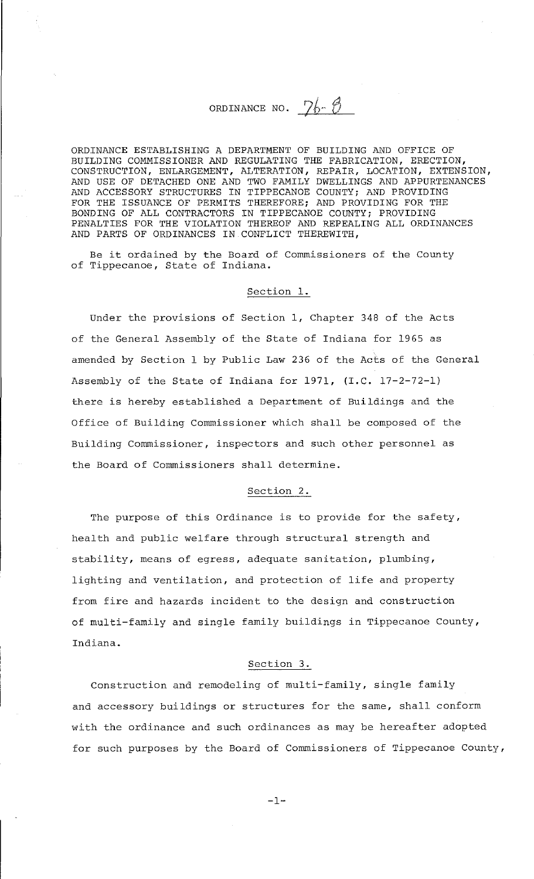# ORDINANCE NO.  $26 - 8$

ORDINANCE ESTABLISHING A DEPARTMENT OF BUILDING AND OFFICE OF BUILDING COMMISSIONER AND REGULATING THE FABRICATION, ERECTION, CONSTRUCTION, ENLARGEMENT, ALTERATION, REPAIR, LOCATION, EXTENSION, AND USE OF DETACHED ONE AND TWO FAMILY DWELLINGS AND APPURTENANCES AND ACCESSORY STRUCTURES IN TIPPECANOE COUNTY; AND PROVIDING FOR THE ISSUANCE OF PERMITS THEREFORE; AND PROVIDING FOR THE BONDING OF ALL CONTRACTORS IN TIPPECANOE COUNTY; PROVIDING PENALTIES FOR THE VIOLATION THEREOF AND REPEALING ALL ORDINANCES AND PARTS OF ORDINANCES IN CONFLICT THEREWITH,

Be it ordained by the Board of Commissioners of the County of Tippecanoe, State of Indiana.

# Section 1.

Under the provisions of Section 1, Chapter 348 of the Acts of the General Assembly of the State of Indiana for 1965 as amended by Section 1 by Public Law 236 of the Acts of the General Assembly of the State of Indiana for 1971, (I.C. 17-2-72-1) there is hereby established a Department of Buildings and the Office of Building Commissioner which shall be composed of the Building Commissioner, inspectors and such other personnel as the Board of Commissioners shall determine.

## Section 2.

The purpose of this Ordinance is to provide for the safety, health and public welfare through structural strength and stability, means of egress, adequate sanitation, plumbing, lighting and ventilation, and protection of life and property from fire and hazards incident to the design and construction of multi-family and single family buildings in Tippecanoe County, Indiana.

# Section 3.

Construction and remodeling of multi-family, single family and accessory buildings or structures for the same, shall conform with the ordinance and such ordinances as may be hereafter adopted for such purposes by the Board of Commissioners of Tippecanoe County,

 $-1-$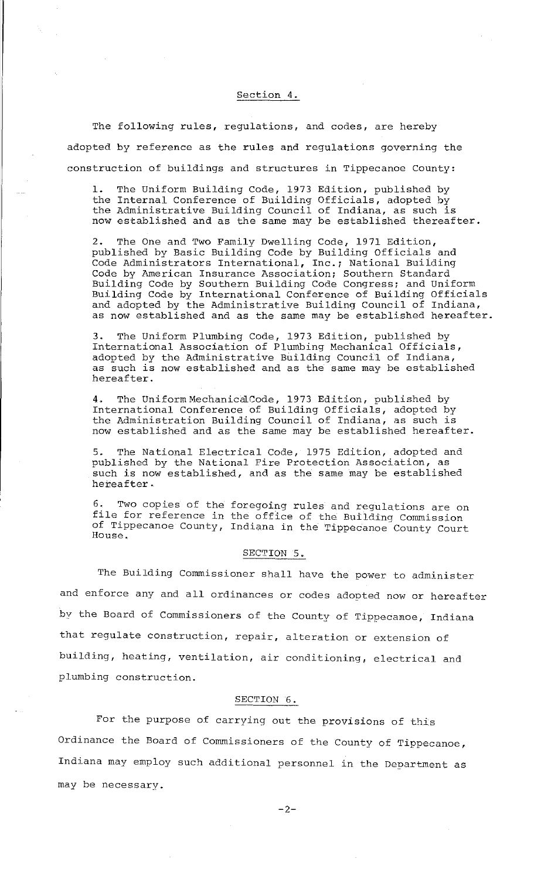## Section 4.

The following rules, regulations, and codes, are hereby adopted by reference as the rules and regulations governing the construction of buildings and structures in Tippecanoe County:

1. The Uniform Building Code, 1973 Edition, published by the Internal Conference of Building Officials, adopted by the Internat conterence or Bariaing orritials, adopted by now established and as the same may be established thereafter.

2. The One and Two Family Dwelling Code, 1971 Edition, published by Basic Building Code by Building Officials and Code Administrators International, Inc.; National Building Code by American Insurance Association; Southern Standard Building Code by Southern Building Code Congress; and Uniform Building Code by International Conference of Building Officials and adopted by the Administrative Building Council of Indiana, as now established and as the same may be established hereafter.

3. The Uniform Plumbing Code, 1973 Edition, published by International Association of Plumbing Mechanical Officials, adopted by the Administrative Building Council of Indiana, adopted by the huministrative barraing councir or indiana, hereafter.

4. The Uniform MechanicalCode, 1973 Edition, published by International Conference of Building Officials, adopted by the Administration Building Council of Indiana, as such is now established and as the same may be established hereafter.

5. The National Electrical Code, 1975 Edition, adopted and published by the National Fire Protection Association, as such is now established, and as the same may be established hereafter.

Two copies of the foregoing rules and regulations are on file for reference in the office of the Building Commission of Tippecanoe County, Indiana in the Tippecanoe County Court House.

#### SECTION 5.

The Building Commissioner shall have the power to administer and enforce any and all ordinances or codes adopted now or hereafter by the Board of Commissioners of the County of Tippecamoe, Indiana that regulate construction, repair, alteration or extension of building, heating, ventilation, air conditioning, electrical and plumbing construction.

#### SECTION 6.

For the purpose of carrying out the provisions of this Ordinance the Board of Commissioners of the County of Tippecanoe, Indiana may employ such additional personnel in the Department as may be necessary.

 $-2-$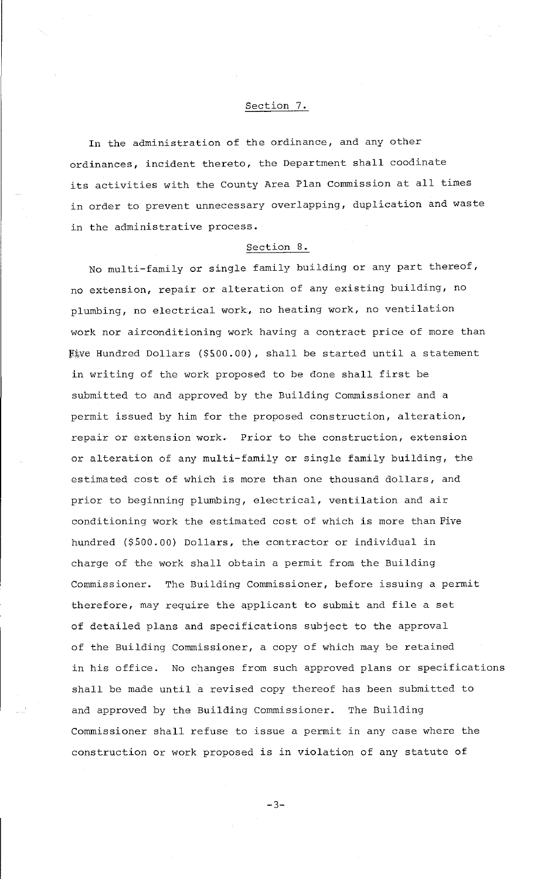## Section 7.

In the administration of the ordinance, and any other ordinances, incident thereto, the Department shall coodinate its activities with the County Area Plan Commission at all times in order to prevent unnecessary overlapping, duplication and waste in the administrative process.

## Section 8.

No multi-family or single family building or any part thereof, no extension, repair or alteration of any existing building, no plumbing, no electrical work, no heating work, no ventilation work nor airconditioning work having a contract price of more than Five Hundred Dollars (\$500.00), shall be started until a statement in writing of the work proposed to be done shall first be submitted to and approved by the Building Commissioner and a permit issued by him for the proposed construction, alteration, repair or extension work. Prior to the construction, extension or alteration of any multi-family or single family building, the estimated cost of which is more than one thousand dollars, and prior to beginning plumbing, electrical, ventilation and air conditioning work the estimated cost of which is more than Five hundred (\$500.00) Dollars, the contractor or individual in charge of the work shall obtain a permit from the Building Commissioner. The Building Commissioner, before issuing a permit therefore, may require the applicant to submit and file a set of detailed plans and specifications subject to the approval of the Building Commissioner, a copy of which may be retained in his office. No changes from such approved plans or specifications shall be made until a revised copy thereof has been submitted to and approved by the Building Commissioner. The Building Commissioner shall refuse to issue a permit in any case where the construction or work proposed is in violation of any statute of

-3-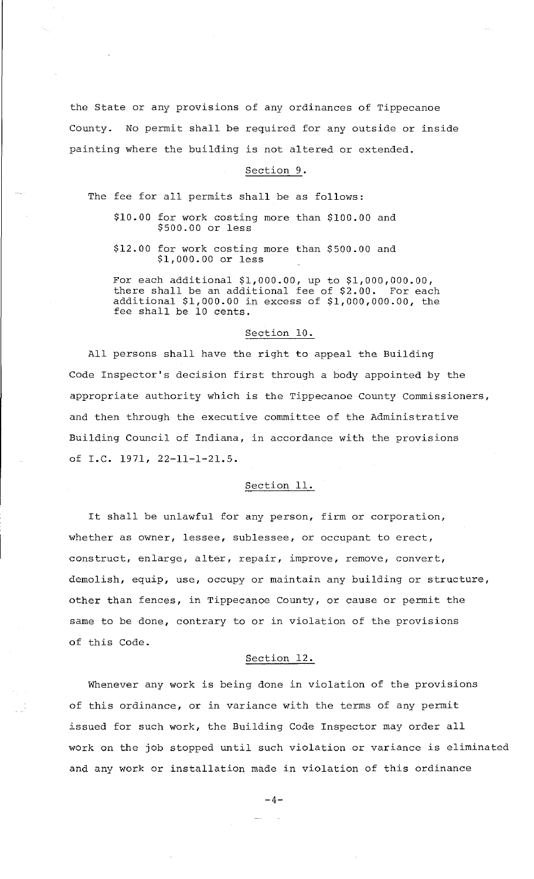the State or any provisions of any ordinances of Tippecanoe County. No permit shall be required for any outside or inside painting where the building is not altered or extended.

#### Section 9.

The fee for all permits shall be as follows:

- \$10.00 for work costing more than \$100.00 and \$500.00 or less
- \$12.00 for work costing more than \$500.00 and \$1,000.00 or less

For each additional \$1,000.00, up to \$1,000,000.00, there shall be an additional fee of \$2.00. For each additional \$1,000.00 in excess of \$1,000,000.00, the fee shall be 10 cents.

# Section 10.

All persons shall have the right to appeal the Building Code Inspector's decision first through a body appointed by the appropriate authority which is the Tippecanoe County Commissioners, and then through the executive committee of the Administrative Building Council of Indiana, in accordance with the provisions of I.e. 1971, 22-11-1-21.5.

## Section 11.

It shall be unlawful for any person, firm or corporation, whether as owner, lessee, sublessee, or occupant to erect, construct, enlarge, alter, repair, improve, remove, convert, demolish, equip, use, occupy or maintain any building or structure, other than fences, in Tippecanoe County, or cause or permit the same to be done, contrary to or in violation of the provisions of this Code.

## Section 12.

Whenever any work is being done in violation of the provisions of this ordinance, or in variance with the terms of any permit issued for such work, the Building Code Inspector may order all work on the job stopped until such violation or variance is eliminated and any work or installation made in violation of this ordinance

 $-4-$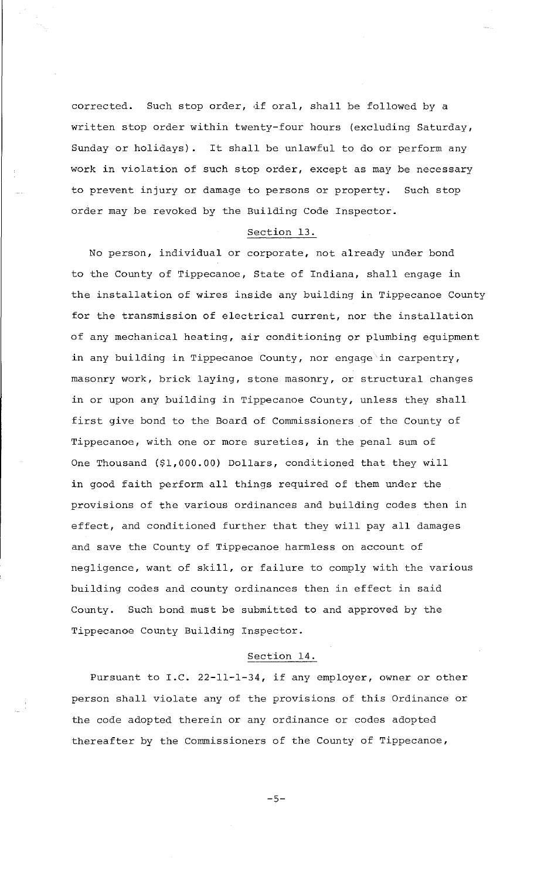corrected. Such stop order, df oral, shall be followed by a written stop order within twenty-four hours (excluding Saturday, Sunday or holidays). It shall be unlawful to do or perform any work in violation of such stop order, except as may be necessary to prevent injury or damage to persons or property. Such stop order may be revoked by the Building Code Inspector.

#### Section 13.

No person, individual or corporate, not already under bond to the County of Tippecanoe, State of Indiana, shall engage in the installation of wires inside any building in Tippecanoe County for the transmission of electrical current, nor the installation of any mechanical heating, air conditioning or plumbing equipment in any building in Tippecanoe County, nor engage in carpentry, masonry work, brick laying, stone masonry, or structural changes in or upon any building in Tippecanoe County, unless they shall first give bond to the Board of Commissioners of the County of Tippecanoe, with one or more sureties, in the penal sum of One Thousand (\$1,000.00) Dollars, conditioned that they will in good faith perform all things required of them under the provisions of the various ordinances and building codes then in effect, and conditioned further that they will pay all damages and save the County of Tippecanoe harmless on account of negligence, want of skill, or failure to comply with the various building codes and county ordinances then in effect in said County. Such bond must be submitted to and approved by the Tippecanoe County Building Inspector.

### Section 14.

Pursuant to I.C. 22-11-1-34, if any employer, owner or other person shall violate any of the provisions of this Ordinance or the code adopted therein or any ordinance or codes adopted thereafter by the Commissioners of the County of Tippecanoe,

-5-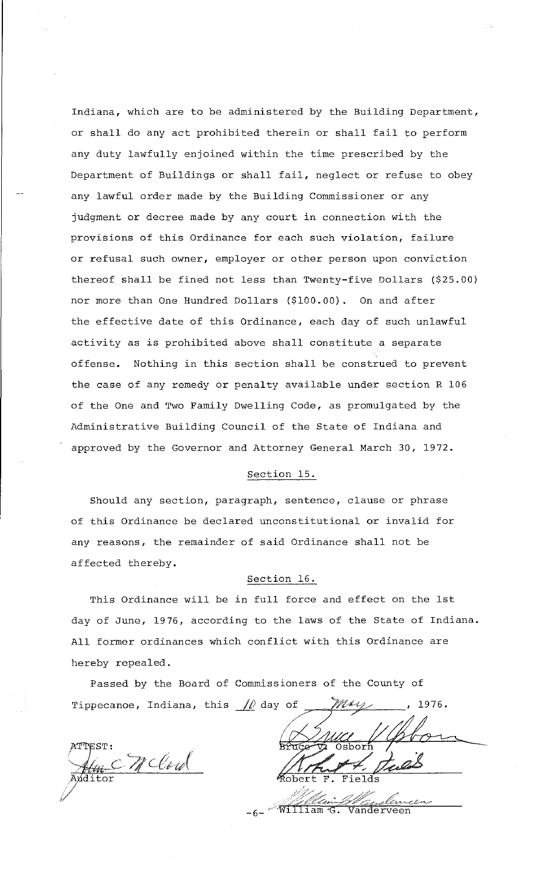Indiana, which are to be administered by the Building Department, or shall do any act prohibited therein or shall fail to perform any duty lawfully enjoined within the time prescribed by the Department of Buildings or shall fail, neglect or refuse to obey any lawful order made by the Building Commissioner or any judgment or decree made by any court in connection with the provisions of this Ordinance for each such violation, failure or refusal such owner, employer or other person upon conviction thereof shall be fined not less than Twenty-five Dollars (\$25.00) nor more than One Hundred Dollars (\$100.00). On and after the effective date of this Ordinance, each day of such unlawful activity as is prohibited above shall constitute a separate offense. Nothing in this section shall be construed to prevent the case of any remedy or penalty available under section R 106 of the One and Two Family Dwelling Code, as promulgated by the Administrative Building Council of the State of Indiana and approved by the Governor and Attorney General March 30, 1972.

# Section 15.

Should any section, paragraph, sentence, clause or phrase of this Ordinance be declared unconstitutional or invalid for any reasons, the remainder of said Ordinance shall not be affected thereby.

# Section 16.

This Ordinance will be in full force and effect on the 1st day of June, 1976, according to the laws of the State of Indiana. All former ordinances which conflict with this Ordinance are hereby repealed.

Passed by the Board of Commissioners of the County of Tippecanoe, Indiana, this  $\frac{1}{\sqrt{2}}$  day of 1976.

McCord dditor

 $\sqrt[m]{\texttt{William G.}}$ Vanderveen